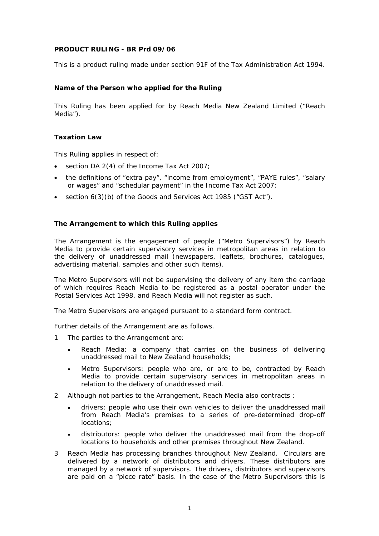# **PRODUCT RULING - BR Prd 09/06**

This is a product ruling made under section 91F of the Tax Administration Act 1994.

# **Name of the Person who applied for the Ruling**

This Ruling has been applied for by Reach Media New Zealand Limited ("Reach Media").

### **Taxation Law**

This Ruling applies in respect of:

- section DA 2(4) of the Income Tax Act 2007;
- the definitions of "extra pay", "income from employment", "PAYE rules", "salary or wages" and "schedular payment" in the Income Tax Act 2007;
- section 6(3)(b) of the Goods and Services Act 1985 ("GST Act").

### **The Arrangement to which this Ruling applies**

The Arrangement is the engagement of people ("Metro Supervisors") by Reach Media to provide certain supervisory services in metropolitan areas in relation to the delivery of unaddressed mail (newspapers, leaflets, brochures, catalogues, advertising material, samples and other such items).

The Metro Supervisors will not be supervising the delivery of any item the carriage of which requires Reach Media to be registered as a postal operator under the Postal Services Act 1998, and Reach Media will not register as such.

The Metro Supervisors are engaged pursuant to a standard form contract.

Further details of the Arrangement are as follows.

- 1 The parties to the Arrangement are:
	- Reach Media: a company that carries on the business of delivering unaddressed mail to New Zealand households;
	- Metro Supervisors: people who are, or are to be, contracted by Reach Media to provide certain supervisory services in metropolitan areas in relation to the delivery of unaddressed mail.
- 2 Although not parties to the Arrangement, Reach Media also contracts :
	- drivers: people who use their own vehicles to deliver the unaddressed mail from Reach Media's premises to a series of pre-determined drop-off locations;
	- distributors: people who deliver the unaddressed mail from the drop-off locations to households and other premises throughout New Zealand.
- 3 Reach Media has processing branches throughout New Zealand. Circulars are delivered by a network of distributors and drivers. These distributors are managed by a network of supervisors. The drivers, distributors and supervisors are paid on a "piece rate" basis. In the case of the Metro Supervisors this is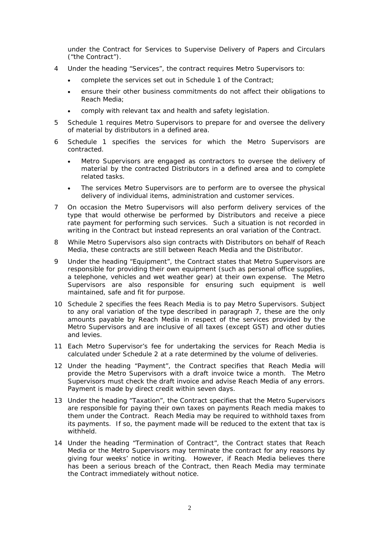under the Contract for Services to Supervise Delivery of Papers and Circulars ("the Contract").

- 4 Under the heading "Services", the contract requires Metro Supervisors to:
	- complete the services set out in Schedule 1 of the Contract;
	- ensure their other business commitments do not affect their obligations to Reach Media;
	- comply with relevant tax and health and safety legislation.
- 5 Schedule 1 requires Metro Supervisors to prepare for and oversee the delivery of material by distributors in a defined area.
- 6 Schedule 1 specifies the services for which the Metro Supervisors are contracted.
	- Metro Supervisors are engaged as contractors to oversee the delivery of material by the contracted Distributors in a defined area and to complete related tasks.
	- The services Metro Supervisors are to perform are to oversee the physical delivery of individual items, administration and customer services.
- 7 On occasion the Metro Supervisors will also perform delivery services of the type that would otherwise be performed by Distributors and receive a piece rate payment for performing such services. Such a situation is not recorded in writing in the Contract but instead represents an oral variation of the Contract.
- 8 While Metro Supervisors also sign contracts with Distributors on behalf of Reach Media, these contracts are still between Reach Media and the Distributor.
- 9 Under the heading "Equipment", the Contract states that Metro Supervisors are responsible for providing their own equipment (such as personal office supplies, a telephone, vehicles and wet weather gear) at their own expense. The Metro Supervisors are also responsible for ensuring such equipment is well maintained, safe and fit for purpose.
- 10 Schedule 2 specifies the fees Reach Media is to pay Metro Supervisors. Subject to any oral variation of the type described in paragraph 7, these are the only amounts payable by Reach Media in respect of the services provided by the Metro Supervisors and are inclusive of all taxes (except GST) and other duties and levies.
- 11 Each Metro Supervisor's fee for undertaking the services for Reach Media is calculated under Schedule 2 at a rate determined by the volume of deliveries.
- 12 Under the heading "Payment", the Contract specifies that Reach Media will provide the Metro Supervisors with a draft invoice twice a month. The Metro Supervisors must check the draft invoice and advise Reach Media of any errors. Payment is made by direct credit within seven days.
- 13 Under the heading "Taxation", the Contract specifies that the Metro Supervisors are responsible for paying their own taxes on payments Reach media makes to them under the Contract. Reach Media may be required to withhold taxes from its payments. If so, the payment made will be reduced to the extent that tax is withheld.
- 14 Under the heading "Termination of Contract", the Contract states that Reach Media or the Metro Supervisors may terminate the contract for any reasons by giving four weeks' notice in writing. However, if Reach Media believes there has been a serious breach of the Contract, then Reach Media may terminate the Contract immediately without notice.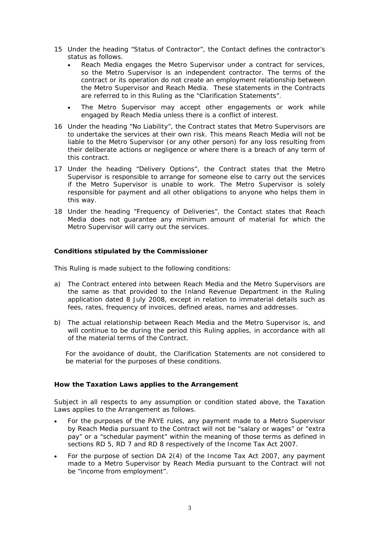- 15 Under the heading "Status of Contractor", the Contact defines the contractor's status as follows.
	- Reach Media engages the Metro Supervisor under a contract for services, so the Metro Supervisor is an independent contractor. The terms of the contract or its operation do not create an employment relationship between the Metro Supervisor and Reach Media. These statements in the Contracts are referred to in this Ruling as the "Clarification Statements".
	- The Metro Supervisor may accept other engagements or work while engaged by Reach Media unless there is a conflict of interest.
- 16 Under the heading "No Liability", the Contract states that Metro Supervisors are to undertake the services at their own risk. This means Reach Media will not be liable to the Metro Supervisor (or any other person) for any loss resulting from their deliberate actions or negligence or where there is a breach of any term of this contract.
- 17 Under the heading "Delivery Options", the Contract states that the Metro Supervisor is responsible to arrange for someone else to carry out the services if the Metro Supervisor is unable to work. The Metro Supervisor is solely responsible for payment and all other obligations to anyone who helps them in this way.
- 18 Under the heading "Frequency of Deliveries", the Contact states that Reach Media does not guarantee any minimum amount of material for which the Metro Supervisor will carry out the services.

### **Conditions stipulated by the Commissioner**

This Ruling is made subject to the following conditions:

- a) The Contract entered into between Reach Media and the Metro Supervisors are the same as that provided to the Inland Revenue Department in the Ruling application dated 8 July 2008, except in relation to immaterial details such as fees, rates, frequency of invoices, defined areas, names and addresses.
- b) The actual relationship between Reach Media and the Metro Supervisor is, and will continue to be during the period this Ruling applies, in accordance with all of the material terms of the Contract.

For the avoidance of doubt, the Clarification Statements are not considered to be material for the purposes of these conditions.

### **How the Taxation Laws applies to the Arrangement**

Subject in all respects to any assumption or condition stated above, the Taxation Laws applies to the Arrangement as follows.

- For the purposes of the PAYE rules, any payment made to a Metro Supervisor by Reach Media pursuant to the Contract will not be "salary or wages" or "extra pay" or a "schedular payment" within the meaning of those terms as defined in sections RD 5, RD 7 and RD 8 respectively of the Income Tax Act 2007.
- For the purpose of section DA 2(4) of the Income Tax Act 2007, any payment made to a Metro Supervisor by Reach Media pursuant to the Contract will not be "income from employment".